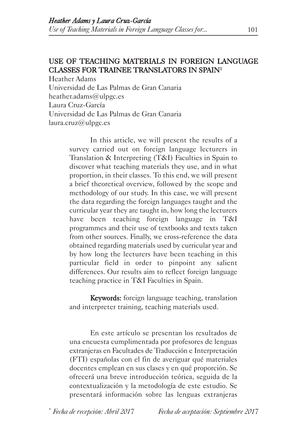# USE OF TEACHING MATERIALS IN FOREIGN LANGUAGE CLASSES FOR TRAINEE TRANSLATORS IN SPAIN1

Heather Adams Universidad de Las Palmas de Gran Canaria heather.adams@ulpgc.es Laura Cruz-García Universidad de Las Palmas de Gran Canaria laura.cruz@ulpgc.es

> In this article, we will present the results of a survey carried out on foreign language lecturers in Translation & Interpreting (T&I) Faculties in Spain to discover what teaching materials they use, and in what proportion, in their classes. To this end, we will present a brief theoretical overview, followed by the scope and methodology of our study. In this case, we will present the data regarding the foreign languages taught and the curricular year they are taught in, how long the lecturers have been teaching foreign language in T&I programmes and their use of textbooks and texts taken from other sources. Finally, we cross-reference the data obtained regarding materials used by curricular year and by how long the lecturers have been teaching in this particular field in order to pinpoint any salient differences. Our results aim to reflect foreign language teaching practice in T&I Faculties in Spain.

> Keywords: foreign language teaching, translation and interpreter training, teaching materials used.

> En este artículo se presentan los resultados de una encuesta cumplimentada por profesores de lenguas extranjeras en Facultades de Traducción e Interpretación (FTI) españolas con el fin de averiguar qué materiales docentes emplean en sus clases y en qué proporción. Se ofrecerá una breve introducción teórica, seguida de la contextualización y la metodología de este estudio. Se presentará información sobre las lenguas extranjeras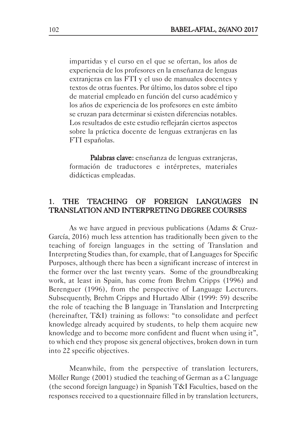impartidas y el curso en el que se ofertan, los años de experiencia de los profesores en la enseñanza de lenguas extranjeras en las FTI y el uso de manuales docentes y textos de otras fuentes. Por último, los datos sobre el tipo de material empleado en función del curso académico y los años de experiencia de los profesores en este ámbito se cruzan para determinar si existen diferencias notables. Los resultados de este estudio reflejarán ciertos aspectos sobre la práctica docente de lenguas extranjeras en las FTI españolas.

Palabras clave: enseñanza de lenguas extranjeras, formación de traductores e intérpretes, materiales didácticas empleadas.

### 1. THE TEACHING OF FOREIGN LANGUAGES IN TRANSLATION AND INTERPRETING DEGREE COURSES

As we have argued in previous publications (Adams & Cruz-García, 2016) much less attention has traditionally been given to the teaching of foreign languages in the setting of Translation and Interpreting Studies than, for example, that of Languages for Specific Purposes, although there has been a significant increase of interest in the former over the last twenty years. Some of the groundbreaking work, at least in Spain, has come from Brehm Cripps (1996) and Berenguer (1996), from the perspective of Language Lecturers. Subsequently, Brehm Cripps and Hurtado Albir (1999: 59) describe the role of teaching the B language in Translation and Interpreting (hereinafter, T&I) training as follows: "to consolidate and perfect knowledge already acquired by students, to help them acquire new knowledge and to become more confident and fluent when using it", to which end they propose six general objectives, broken down in turn into 22 specific objectives.

Meanwhile, from the perspective of translation lecturers, Möller Runge (2001) studied the teaching of German as a C language (the second foreign language) in Spanish T&I Faculties, based on the responses received to a questionnaire filled in by translation lecturers,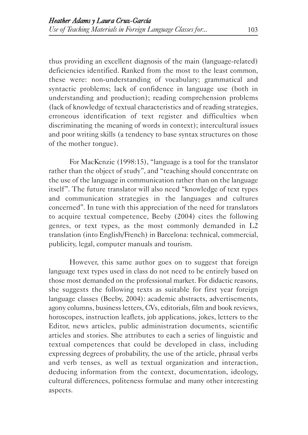thus providing an excellent diagnosis of the main (language-related) deficiencies identified. Ranked from the most to the least common, these were: non-understanding of vocabulary; grammatical and syntactic problems; lack of confidence in language use (both in understanding and production); reading comprehension problems (lack of knowledge of textual characteristics and of reading strategies, erroneous identification of text register and difficulties when discriminating the meaning of words in context); intercultural issues and poor writing skills (a tendency to base syntax structures on those of the mother tongue).

For MacKenzie (1998:15), "language is a tool for the translator rather than the object of study", and "teaching should concentrate on the use of the language in communication rather than on the language itself". The future translator will also need "knowledge of text types and communication strategies in the languages and cultures concerned". In tune with this appreciation of the need for translators to acquire textual competence, Beeby (2004) cites the following genres, or text types, as the most commonly demanded in L2 translation (into English/French) in Barcelona: technical, commercial, publicity, legal, computer manuals and tourism.

However, this same author goes on to suggest that foreign language text types used in class do not need to be entirely based on those most demanded on the professional market. For didactic reasons, she suggests the following texts as suitable for first year foreign language classes (Beeby, 2004): academic abstracts, advertisements, agony columns, business letters, CVs, editorials, film and book reviews, horoscopes, instruction leaflets, job applications, jokes, letters to the Editor, news articles, public administration documents, scientific articles and stories. She attributes to each a series of linguistic and textual competences that could be developed in class, including expressing degrees of probability, the use of the article, phrasal verbs and verb tenses, as well as textual organization and interaction, deducing information from the context, documentation, ideology, cultural differences, politeness formulae and many other interesting aspects.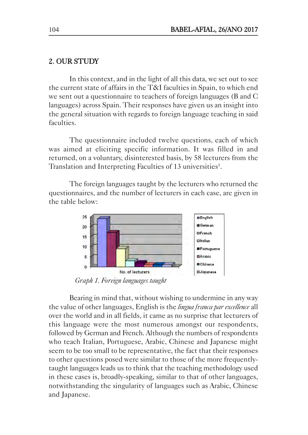## 2. OUR STUDY

In this context, and in the light of all this data, we set out to see the current state of affairs in the T&I faculties in Spain, to which end we sent out a questionnaire to teachers of foreign languages (B and C languages) across Spain. Their responses have given us an insight into the general situation with regards to foreign language teaching in said faculties.

The questionnaire included twelve questions, each of which was aimed at eliciting specific information. It was filled in and returned, on a voluntary, disinterested basis, by 58 lecturers from the Translation and Interpreting Faculties of 13 universities<sup>1</sup>.

The foreign languages taught by the lecturers who returned the questionnaires, and the number of lecturers in each case, are given in the table below:



*Graph 1. Foreign languages taught* 

Bearing in mind that, without wishing to undermine in any way the value of other languages, English is the *lingua franca par excellence* all over the world and in all fields, it came as no surprise that lecturers of this language were the most numerous amongst our respondents, followed by German and French. Although the numbers of respondents who teach Italian, Portuguese, Arabic, Chinese and Japanese might seem to be too small to be representative, the fact that their responses to other questions posed were similar to those of the more frequentlytaught languages leads us to think that the teaching methodology used in these cases is, broadly-speaking, similar to that of other languages, notwithstanding the singularity of languages such as Arabic, Chinese and Japanese.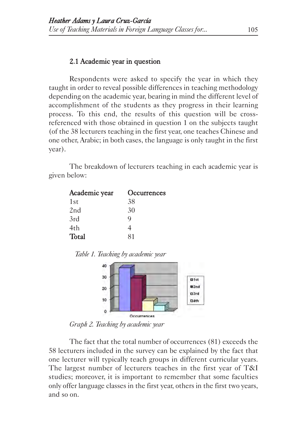### 2.1 Academic year in question

Respondents were asked to specify the year in which they taught in order to reveal possible differences in teaching methodology depending on the academic year, bearing in mind the different level of accomplishment of the students as they progress in their learning process. To this end, the results of this question will be crossreferenced with those obtained in question 1 on the subjects taught (of the 38 lecturers teaching in the first year, one teaches Chinese and one other, Arabic; in both cases, the language is only taught in the first year).

The breakdown of lecturers teaching in each academic year is given below:

| Academic year   | Occurrences |
|-----------------|-------------|
| 1st             | 38          |
| 2 <sub>nd</sub> | 30          |
| 3rd             | Q           |
| 4th             | 4           |
| Total           | 81          |

*Table 1. Teaching by academic year*



*Graph 2. Teaching by academic year* 

The fact that the total number of occurrences (81) exceeds the 58 lecturers included in the survey can be explained by the fact that one lecturer will typically teach groups in different curricular years. The largest number of lecturers teaches in the first year of T&I studies; moreover, it is important to remember that some faculties only offer language classes in the first year, others in the first two years, and so on.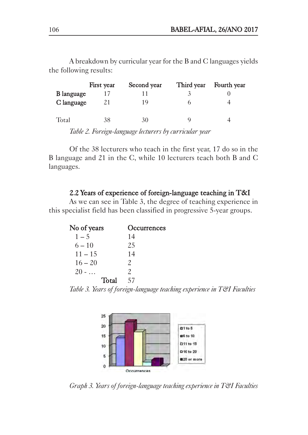First year Second year Third year Fourth year **B** language  $17$   $11$   $3$  0 C language 21 19 6 4 Total 38 30 9 4

A breakdown by curricular year for the B and C languages yields the following results:

*Table 2. Foreign-language lecturers by curricular year*

Of the 38 lecturers who teach in the first year, 17 do so in the B language and 21 in the C, while 10 lecturers teach both B and C languages.

## 2.2 Years of experience of foreign-language teaching in T&I

As we can see in Table 3, the degree of teaching experience in this specialist field has been classified in progressive 5-year groups.

| No of years | Occurrences           |
|-------------|-----------------------|
| $1 - 5$     | 14                    |
| $6 - 10$    | 25                    |
| $11 - 15$   | 14                    |
| $16 - 20$   | $\mathcal{P}_{\cdot}$ |
| $20 - $     | $\mathcal{P}_{\cdot}$ |
| Total       | 57                    |

*Table 3. Years of foreign-language teaching experience in T&I Faculties*



*Graph 3. Years of foreign-language teaching experience in T&I Faculties*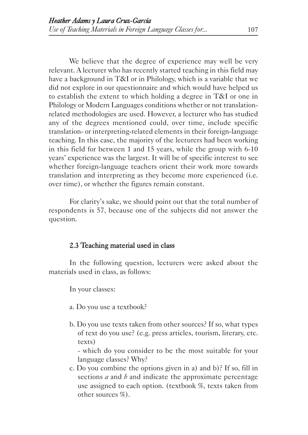We believe that the degree of experience may well be very relevant. A lecturer who has recently started teaching in this field may have a background in T&I or in Philology, which is a variable that we did not explore in our questionnaire and which would have helped us to establish the extent to which holding a degree in T&I or one in Philology or Modern Languages conditions whether or not translationrelated methodologies are used. However, a lecturer who has studied any of the degrees mentioned could, over time, include specific translation- or interpreting-related elements in their foreign-language teaching. In this case, the majority of the lecturers had been working in this field for between 1 and 15 years, while the group with 6-10 years' experience was the largest. It will be of specific interest to see whether foreign-language teachers orient their work more towards translation and interpreting as they become more experienced (i.e. over time), or whether the figures remain constant.

For clarity's sake, we should point out that the total number of respondents is 57, because one of the subjects did not answer the question.

### 2.3 Teaching material used in class

In the following question, lecturers were asked about the materials used in class, as follows:

In your classes:

- a. Do you use a textbook?
- b. Do you use texts taken from other sources? If so, what types of text do you use? (e.g. press articles, tourism, literary, etc. texts)

- which do you consider to be the most suitable for your language classes? Why?

c. Do you combine the options given in a) and b)? If so, fill in sections *a* and *b* and indicate the approximate percentage use assigned to each option. (textbook %, texts taken from other sources %).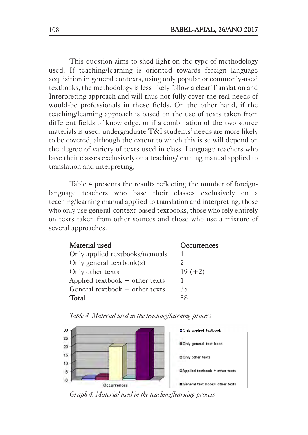This question aims to shed light on the type of methodology used. If teaching/learning is oriented towards foreign language acquisition in general contexts, using only popular or commonly-used textbooks, the methodology is less likely follow a clear Translation and Interpreting approach and will thus not fully cover the real needs of would-be professionals in these fields. On the other hand, if the teaching/learning approach is based on the use of texts taken from different fields of knowledge, or if a combination of the two source materials is used, undergraduate T&I students' needs are more likely to be covered, although the extent to which this is so will depend on the degree of variety of texts used in class. Language teachers who base their classes exclusively on a teaching/learning manual applied to translation and interpreting,

Table 4 presents the results reflecting the number of foreignlanguage teachers who base their classes exclusively on a teaching/learning manual applied to translation and interpreting, those who only use general-context-based textbooks, those who rely entirely on texts taken from other sources and those who use a mixture of several approaches.

| Material used                    | Occurrences |
|----------------------------------|-------------|
| Only applied textbooks/manuals   |             |
| Only general textbook $(s)$      |             |
| Only other texts                 | $19 (+2)$   |
| Applied textbook + other texts   |             |
| General textbook $+$ other texts | 35          |
| Total                            | 58          |





*Graph 4. Material used in the teaching/learning process*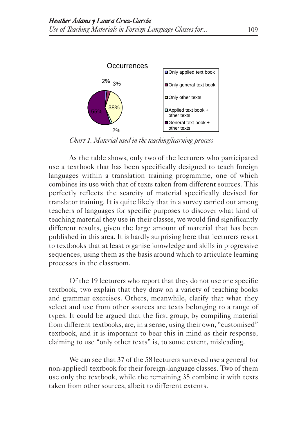

*Chart 1. Material used in the teaching/learning process* 

As the table shows, only two of the lecturers who participated use a textbook that has been specifically designed to teach foreign languages within a translation training programme, one of which combines its use with that of texts taken from different sources. This perfectly reflects the scarcity of material specifically devised for translator training. It is quite likely that in a survey carried out among teachers of languages for specific purposes to discover what kind of teaching material they use in their classes, we would find significantly different results, given the large amount of material that has been published in this area. It is hardly surprising here that lecturers resort to textbooks that at least organise knowledge and skills in progressive sequences, using them as the basis around which to articulate learning processes in the classroom.

Of the 19 lecturers who report that they do not use one specific textbook, two explain that they draw on a variety of teaching books and grammar exercises. Others, meanwhile, clarify that what they select and use from other sources are texts belonging to a range of types. It could be argued that the first group, by compiling material from different textbooks, are, in a sense, using their own, "customised" textbook, and it is important to bear this in mind as their response, claiming to use "only other texts" is, to some extent, misleading.

We can see that 37 of the 58 lecturers surveyed use a general (or non-applied) textbook for their foreign-language classes. Two of them use only the textbook, while the remaining 35 combine it with texts taken from other sources, albeit to different extents.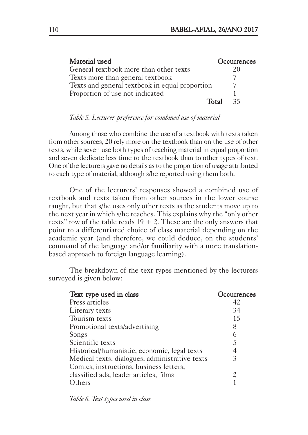| Material used                                  | <b>Occurrences</b> |
|------------------------------------------------|--------------------|
| General textbook more than other texts         | 20                 |
| Texts more than general textbook               |                    |
| Texts and general textbook in equal proportion |                    |
| Proportion of use not indicated                |                    |
| Total                                          | 35                 |

#### *Table 5. Lecturer preference for combined use of material*

Among those who combine the use of a textbook with texts taken from other sources, 20 rely more on the textbook than on the use of other texts, while seven use both types of teaching material in equal proportion and seven dedicate less time to the textbook than to other types of text. One of the lecturers gave no details as to the proportion of usage attributed to each type of material, although s/he reported using them both.

One of the lecturers' responses showed a combined use of textbook and texts taken from other sources in the lower course taught, but that s/he uses only other texts as the students move up to the next year in which s/he teaches. This explains why the "only other texts" row of the table reads  $19 + 2$ . These are the only answers that point to a differentiated choice of class material depending on the academic year (and therefore, we could deduce, on the students' command of the language and/or familiarity with a more translationbased approach to foreign language learning).

| Text type used in class                        | Occurrences |
|------------------------------------------------|-------------|
| Press articles                                 | 42          |
| Literary texts                                 | 34          |
| Tourism texts                                  | 15          |
| Promotional texts/advertising                  | 8           |
| Songs                                          | 6           |
| Scientific texts                               | 5           |
| Historical/humanistic, economic, legal texts   |             |
| Medical texts, dialogues, administrative texts | 3           |
| Comics, instructions, business letters,        |             |
| classified ads, leader articles, films         |             |
| Others                                         |             |

The breakdown of the text types mentioned by the lecturers surveyed is given below:

*Table 6. Text types used in class*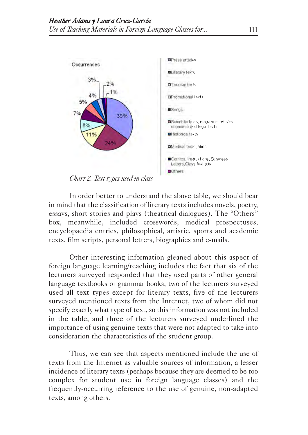

In order better to understand the above table, we should bear in mind that the classification of literary texts includes novels, poetry, essays, short stories and plays (theatrical dialogues). The "Others" box, meanwhile, included crosswords, medical prospectuses, encyclopaedia entries, philosophical, artistic, sports and academic texts, film scripts, personal letters, biographies and e-mails.

Other interesting information gleaned about this aspect of foreign language learning/teaching includes the fact that six of the lecturers surveyed responded that they used parts of other general language textbooks or grammar books, two of the lecturers surveyed used all text types except for literary texts, five of the lecturers surveyed mentioned texts from the Internet, two of whom did not specify exactly what type of text, so this information was not included in the table, and three of the lecturers surveyed underlined the importance of using genuine texts that were not adapted to take into consideration the characteristics of the student group.

Thus, we can see that aspects mentioned include the use of texts from the Internet as valuable sources of information, a lesser incidence of literary texts (perhaps because they are deemed to be too complex for student use in foreign language classes) and the frequently-occurring reference to the use of genuine, non-adapted texts, among others.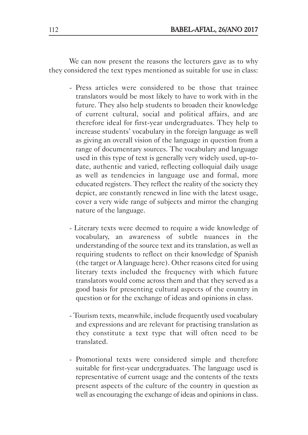We can now present the reasons the lecturers gave as to why they considered the text types mentioned as suitable for use in class:

- Press articles were considered to be those that trainee translators would be most likely to have to work with in the future. They also help students to broaden their knowledge of current cultural, social and political affairs, and are therefore ideal for first-year undergraduates. They help to increase students' vocabulary in the foreign language as well as giving an overall vision of the language in question from a range of documentary sources. The vocabulary and language used in this type of text is generally very widely used, up-todate, authentic and varied, reflecting colloquial daily usage as well as tendencies in language use and formal, more educated registers. They reflect the reality of the society they depict, are constantly renewed in line with the latest usage, cover a very wide range of subjects and mirror the changing nature of the language.
- Literary texts were deemed to require a wide knowledge of vocabulary, an awareness of subtle nuances in the understanding of the source text and its translation, as well as requiring students to reflect on their knowledge of Spanish (the target or A language here). Other reasons cited for using literary texts included the frequency with which future translators would come across them and that they served as a good basis for presenting cultural aspects of the country in question or for the exchange of ideas and opinions in class.
- Tourism texts, meanwhile, include frequently used vocabulary and expressions and are relevant for practising translation as they constitute a text type that will often need to be translated.
- Promotional texts were considered simple and therefore suitable for first-year undergraduates. The language used is representative of current usage and the contents of the texts present aspects of the culture of the country in question as well as encouraging the exchange of ideas and opinions in class.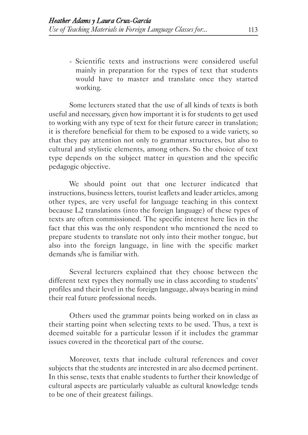- Scientific texts and instructions were considered useful mainly in preparation for the types of text that students would have to master and translate once they started working.

Some lecturers stated that the use of all kinds of texts is both useful and necessary, given how important it is for students to get used to working with any type of text for their future career in translation; it is therefore beneficial for them to be exposed to a wide variety, so that they pay attention not only to grammar structures, but also to cultural and stylistic elements, among others. So the choice of text type depends on the subject matter in question and the specific pedagogic objective.

We should point out that one lecturer indicated that instructions, business letters, tourist leaflets and leader articles, among other types, are very useful for language teaching in this context because L2 translations (into the foreign language) of these types of texts are often commissioned. The specific interest here lies in the fact that this was the only respondent who mentioned the need to prepare students to translate not only into their mother tongue, but also into the foreign language, in line with the specific market demands s/he is familiar with.

Several lecturers explained that they choose between the different text types they normally use in class according to students' profiles and their level in the foreign language, always bearing in mind their real future professional needs.

Others used the grammar points being worked on in class as their starting point when selecting texts to be used. Thus, a text is deemed suitable for a particular lesson if it includes the grammar issues covered in the theoretical part of the course.

Moreover, texts that include cultural references and cover subjects that the students are interested in are also deemed pertinent. In this sense, texts that enable students to further their knowledge of cultural aspects are particularly valuable as cultural knowledge tends to be one of their greatest failings.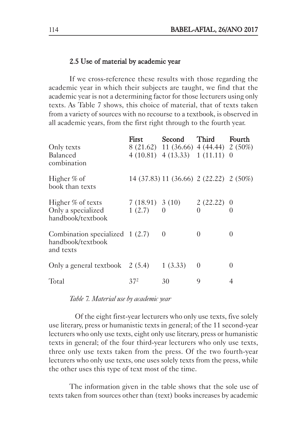### 2.5 Use of material by academic year

If we cross-reference these results with those regarding the academic year in which their subjects are taught, we find that the academic year is not a determining factor for those lecturers using only texts. As Table 7 shows, this choice of material, that of texts taken from a variety of sources with no recourse to a textbook, is observed in all academic years, from the first right through to the fourth year.

|                                                                    | First                       | Second                                  | Third                | Fourth                       |
|--------------------------------------------------------------------|-----------------------------|-----------------------------------------|----------------------|------------------------------|
| Only texts                                                         |                             | 8 (21.62) 11 (36.66) 4 (44.44) 2 (50%)  |                      |                              |
| Balanced<br>combination                                            |                             | $4(10.81)$ $4(13.33)$ $1(11.11)$ 0      |                      |                              |
| Higher % of<br>book than texts                                     |                             | 14 (37.83) 11 (36.66) 2 (22.22) 2 (50%) |                      |                              |
| Higher % of texts<br>Only a specialized<br>handbook/textbook       | $7(18.91)$ 3 (10)<br>1(2.7) | $\Omega$                                | 2(22.22)<br>$\Omega$ | $\theta$<br>$\left( \right)$ |
| Combination specialized $1(2.7)$<br>handbook/textbook<br>and texts |                             | $\theta$                                | $\Omega$             | $\theta$                     |
| Only a general textbook $2(5.4)$                                   |                             | 1(3.33)                                 | $\theta$             | $\theta$                     |
| Total                                                              | $37^2$                      | 30                                      | 9                    |                              |

*Table 7. Material use by academic year*

Of the eight first-year lecturers who only use texts, five solely use literary, press or humanistic texts in general; of the 11 second-year lecturers who only use texts, eight only use literary, press or humanistic texts in general; of the four third-year lecturers who only use texts, three only use texts taken from the press. Of the two fourth-year lecturers who only use texts, one uses solely texts from the press, while the other uses this type of text most of the time.

The information given in the table shows that the sole use of texts taken from sources other than (text) books increases by academic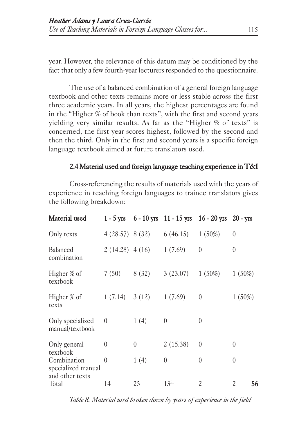year. However, the relevance of this datum may be conditioned by the fact that only a few fourth-year lecturers responded to the questionnaire.

The use of a balanced combination of a general foreign language textbook and other texts remains more or less stable across the first three academic years. In all years, the highest percentages are found in the "Higher % of book than texts", with the first and second years yielding very similar results. As far as the "Higher % of texts" is concerned, the first year scores highest, followed by the second and then the third. Only in the first and second years is a specific foreign language textbook aimed at future translators used.

### 2.4 Material used and foreign language teaching experience in T&I

Cross-referencing the results of materials used with the years of experience in teaching foreign languages to trainee translators gives the following breakdown:

| Material used                                        |                  |          | $1 - 5$ yrs $6 - 10$ yrs $11 - 15$ yrs $16 - 20$ yrs $20 - y$ rs |          |          |
|------------------------------------------------------|------------------|----------|------------------------------------------------------------------|----------|----------|
| Only texts                                           | 4(28.57) 8(32)   |          | 6(46.15)                                                         | 1(50%)   | $\theta$ |
| Balanced<br>combination                              | $2(14.28)$ 4(16) |          | 1(7.69)                                                          | $\theta$ | 0        |
| Higher % of<br>textbook                              | 7(50)            | 8(32)    | 3(23.07)                                                         | 1(50%)   | 1(50%)   |
| Higher % of<br>texts                                 | 1(7.14)          | 3(12)    | 1(7.69)                                                          | $\theta$ | 1(50%)   |
| Only specialized<br>manual/textbook                  | $\theta$         | 1(4)     | $\theta$                                                         | $\theta$ |          |
| Only general<br>textbook                             | $\overline{0}$   | $\theta$ | 2(15.38)                                                         | $\theta$ | 0        |
| Combination<br>specialized manual<br>and other texts | $\theta$         | 1(4)     | $\theta$                                                         | $\theta$ | 0        |
| Total                                                | 14               | 25       | $13$ iii                                                         | 2        | 56<br>2  |

*Table 8. Material used broken down by years of experience in the field*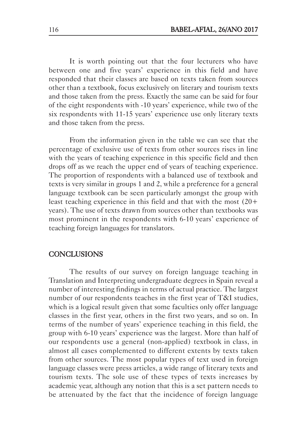It is worth pointing out that the four lecturers who have between one and five years' experience in this field and have responded that their classes are based on texts taken from sources other than a textbook, focus exclusively on literary and tourism texts and those taken from the press. Exactly the same can be said for four of the eight respondents with -10 years' experience, while two of the six respondents with 11-15 years' experience use only literary texts and those taken from the press.

From the information given in the table we can see that the percentage of exclusive use of texts from other sources rises in line with the years of teaching experience in this specific field and then drops off as we reach the upper end of years of teaching experience. The proportion of respondents with a balanced use of textbook and texts is very similar in groups 1 and 2, while a preference for a general language textbook can be seen particularly amongst the group with least teaching experience in this field and that with the most (20+ years). The use of texts drawn from sources other than textbooks was most prominent in the respondents with 6-10 years' experience of teaching foreign languages for translators.

### **CONCLUSIONS**

The results of our survey on foreign language teaching in Translation and Interpreting undergraduate degrees in Spain reveal a number of interesting findings in terms of actual practice. The largest number of our respondents teaches in the first year of T&I studies, which is a logical result given that some faculties only offer language classes in the first year, others in the first two years, and so on. In terms of the number of years' experience teaching in this field, the group with 6-10 years' experience was the largest. More than half of our respondents use a general (non-applied) textbook in class, in almost all cases complemented to different extents by texts taken from other sources. The most popular types of text used in foreign language classes were press articles, a wide range of literary texts and tourism texts. The sole use of these types of texts increases by academic year, although any notion that this is a set pattern needs to be attenuated by the fact that the incidence of foreign language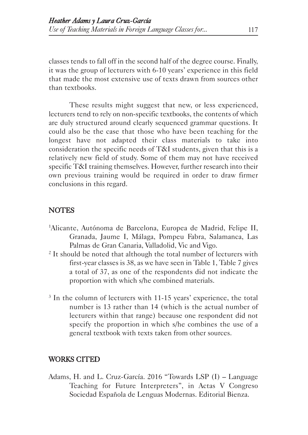classes tends to fall off in the second half of the degree course. Finally, it was the group of lecturers with 6-10 years' experience in this field that made the most extensive use of texts drawn from sources other than textbooks.

These results might suggest that new, or less experienced, lecturers tend to rely on non-specific textbooks, the contents of which are duly structured around clearly sequenced grammar questions. It could also be the case that those who have been teaching for the longest have not adapted their class materials to take into consideration the specific needs of T&I students, given that this is a relatively new field of study. Some of them may not have received specific T&I training themselves. However, further research into their own previous training would be required in order to draw firmer conclusions in this regard.

### **NOTES**

- 1 Alicante, Autónoma de Barcelona, Europea de Madrid, Felipe II, Granada, Jaume I, Málaga, Pompeu Fabra, Salamanca, Las Palmas de Gran Canaria, Valladolid, Vic and Vigo.
- <sup>2</sup> It should be noted that although the total number of lecturers with first-year classes is 38, as we have seen in Table 1, Table 7 gives a total of 37, as one of the respondents did not indicate the proportion with which s/he combined materials.
- <sup>3</sup> In the column of lecturers with 11-15 years' experience, the total number is 13 rather than 14 (which is the actual number of lecturers within that range) because one respondent did not specify the proportion in which s/he combines the use of a general textbook with texts taken from other sources.

### WORKS CITED

Adams, H. and L. Cruz-García. 2016 "Towards LSP (I) – Language Teaching for Future Interpreters", in Actas V Congreso Sociedad Española de Lenguas Modernas. Editorial Bienza.